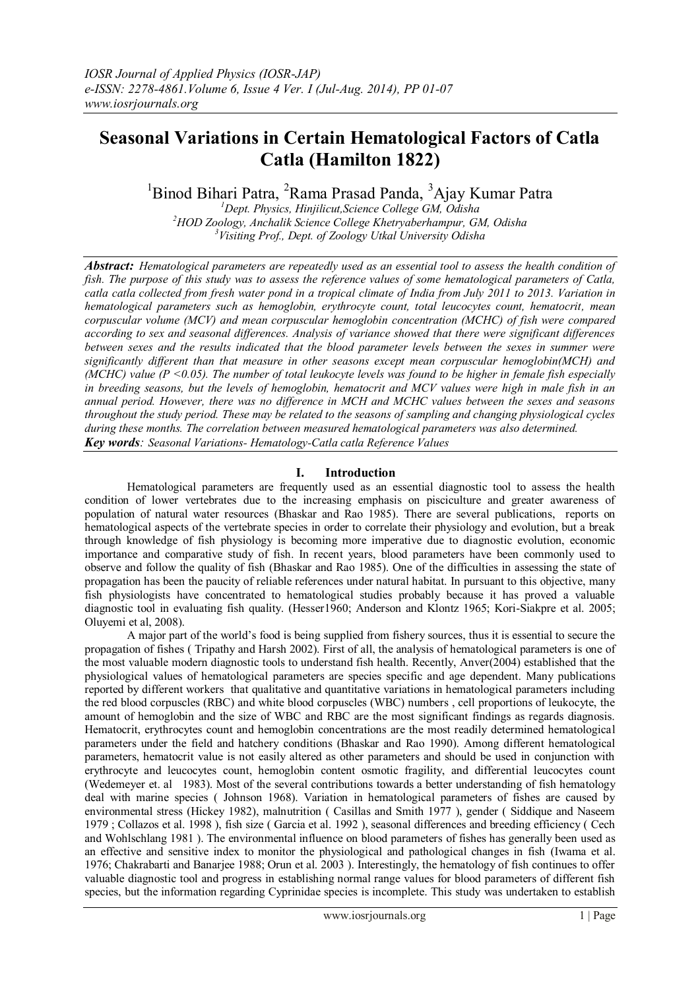# **Seasonal Variations in Certain Hematological Factors of Catla Catla (Hamilton 1822)**

 $1B$ inod Bihari Patra, <sup>2</sup>Rama Prasad Panda, <sup>3</sup>Ajay Kumar Patra

*<sup>1</sup>Dept. Physics, Hinjilicut,Science College GM, Odisha <sup>2</sup>HOD Zoology, Anchalik Science College Khetryaberhampur, GM, Odisha <sup>3</sup>Visiting Prof., Dept. of Zoology Utkal University Odisha*

*Abstract: Hematological parameters are repeatedly used as an essential tool to assess the health condition of fish. The purpose of this study was to assess the reference values of some hematological parameters of Catla, catla catla collected from fresh water pond in a tropical climate of India from July 2011 to 2013. Variation in hematological parameters such as hemoglobin, erythrocyte count, total leucocytes count, hematocrit, mean corpuscular volume (MCV) and mean corpuscular hemoglobin concentration (MCHC) of fish were compared according to sex and seasonal differences. Analysis of variance showed that there were significant differences between sexes and the results indicated that the blood parameter levels between the sexes in summer were significantly different than that measure in other seasons except mean corpuscular hemoglobin(MCH) and (MCHC) value (P <0.05). The number of total leukocyte levels was found to be higher in female fish especially in breeding seasons, but the levels of hemoglobin, hematocrit and MCV values were high in male fish in an annual period. However, there was no difference in MCH and MCHC values between the sexes and seasons throughout the study period. These may be related to the seasons of sampling and changing physiological cycles during these months. The correlation between measured hematological parameters was also determined. Key words: Seasonal Variations- Hematology-Catla catla Reference Values*

## **I. Introduction**

Hematological parameters are frequently used as an essential diagnostic tool to assess the health condition of lower vertebrates due to the increasing emphasis on pisciculture and greater awareness of population of natural water resources (Bhaskar and Rao 1985). There are several publications, reports on hematological aspects of the vertebrate species in order to correlate their physiology and evolution, but a break through knowledge of fish physiology is becoming more imperative due to diagnostic evolution, economic importance and comparative study of fish. In recent years, blood parameters have been commonly used to observe and follow the quality of fish (Bhaskar and Rao 1985). One of the difficulties in assessing the state of propagation has been the paucity of reliable references under natural habitat. In pursuant to this objective, many fish physiologists have concentrated to hematological studies probably because it has proved a valuable diagnostic tool in evaluating fish quality. (Hesser1960; Anderson and Klontz 1965; Kori-Siakpre et al. 2005; Oluyemi et al, 2008).

A major part of the world's food is being supplied from fishery sources, thus it is essential to secure the propagation of fishes ( Tripathy and Harsh 2002). First of all, the analysis of hematological parameters is one of the most valuable modern diagnostic tools to understand fish health. Recently, Anver(2004) established that the physiological values of hematological parameters are species specific and age dependent. Many publications reported by different workers that qualitative and quantitative variations in hematological parameters including the red blood corpuscles (RBC) and white blood corpuscles (WBC) numbers , cell proportions of leukocyte, the amount of hemoglobin and the size of WBC and RBC are the most significant findings as regards diagnosis. Hematocrit, erythrocytes count and hemoglobin concentrations are the most readily determined hematological parameters under the field and hatchery conditions (Bhaskar and Rao 1990). Among different hematological parameters, hematocrit value is not easily altered as other parameters and should be used in conjunction with erythrocyte and leucocytes count, hemoglobin content osmotic fragility, and differential leucocytes count (Wedemeyer et. al 1983). Most of the several contributions towards a better understanding of fish hematology deal with marine species ( Johnson 1968). Variation in hematological parameters of fishes are caused by environmental stress (Hickey 1982), malnutrition ( Casillas and Smith 1977 ), gender ( Siddique and Naseem 1979 ; Collazos et al. 1998 ), fish size ( Garcia et al. 1992 ), seasonal differences and breeding efficiency ( Cech and Wohlschlang 1981 ). The environmental influence on blood parameters of fishes has generally been used as an effective and sensitive index to monitor the physiological and pathological changes in fish (Iwama et al. 1976; Chakrabarti and Banarjee 1988; Orun et al. 2003 ). Interestingly, the hematology of fish continues to offer valuable diagnostic tool and progress in establishing normal range values for blood parameters of different fish species, but the information regarding Cyprinidae species is incomplete. This study was undertaken to establish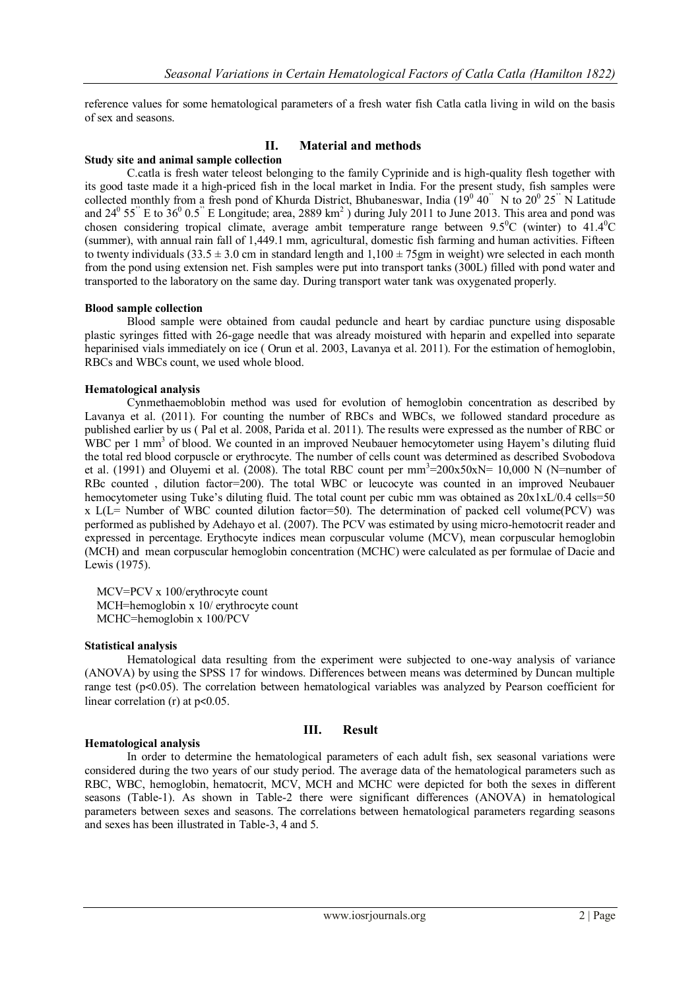reference values for some hematological parameters of a fresh water fish Catla catla living in wild on the basis of sex and seasons.

# **II. Material and methods**

## **Study site and animal sample collection**

C.catla is fresh water teleost belonging to the family Cyprinide and is high-quality flesh together with its good taste made it a high-priced fish in the local market in India. For the present study, fish samples were collected monthly from a fresh pond of Khurda District, Bhubaneswar, India  $(19^0 40^7)$  N to  $20^0 25^7$  N Latitude and  $24^{\circ}$  55" E to  $36^{\circ}$  0.5" E Longitude; area, 2889 km<sup>2</sup>) during July 2011 to June 2013. This area and pond was chosen considering tropical climate, average ambit temperature range between  $9.5^{\circ}$ C (winter) to  $41.4^{\circ}$ C (summer), with annual rain fall of 1,449.1 mm, agricultural, domestic fish farming and human activities. Fifteen to twenty individuals (33.5  $\pm$  3.0 cm in standard length and 1,100  $\pm$  75gm in weight) wre selected in each month from the pond using extension net. Fish samples were put into transport tanks (300L) filled with pond water and transported to the laboratory on the same day. During transport water tank was oxygenated properly.

### **Blood sample collection**

Blood sample were obtained from caudal peduncle and heart by cardiac puncture using disposable plastic syringes fitted with 26-gage needle that was already moistured with heparin and expelled into separate heparinised vials immediately on ice ( Orun et al. 2003, Lavanya et al. 2011). For the estimation of hemoglobin, RBCs and WBCs count, we used whole blood.

### **Hematological analysis**

Cynmethaemoblobin method was used for evolution of hemoglobin concentration as described by Lavanya et al. (2011). For counting the number of RBCs and WBCs, we followed standard procedure as published earlier by us ( Pal et al. 2008, Parida et al. 2011). The results were expressed as the number of RBC or WBC per 1 mm<sup>3</sup> of blood. We counted in an improved Neubauer hemocytometer using Hayem's diluting fluid the total red blood corpuscle or erythrocyte. The number of cells count was determined as described Svobodova et al. (1991) and Oluyemi et al. (2008). The total RBC count per  $mm^3=200x50xN=10,000 N$  (N=number of RBc counted, dilution factor=200). The total WBC or leucocyte was counted in an improved Neubauer hemocytometer using Tuke's diluting fluid. The total count per cubic mm was obtained as  $20x1xL/0.4$  cells=50 x L(L= Number of WBC counted dilution factor=50). The determination of packed cell volume(PCV) was performed as published by Adehayo et al. (2007). The PCV was estimated by using micro-hemotocrit reader and expressed in percentage. Erythocyte indices mean corpuscular volume (MCV), mean corpuscular hemoglobin (MCH) and mean corpuscular hemoglobin concentration (MCHC) were calculated as per formulae of Dacie and Lewis (1975).

 MCV=PCV x 100/erythrocyte count MCH=hemoglobin x 10/ erythrocyte count MCHC=hemoglobin x 100/PCV

#### **Statistical analysis**

Hematological data resulting from the experiment were subjected to one-way analysis of variance (ANOVA) by using the SPSS 17 for windows. Differences between means was determined by Duncan multiple range test (p˂0.05). The correlation between hematological variables was analyzed by Pearson coefficient for linear correlation (r) at p˂0.05.

## **Hematological analysis**

# **III. Result**

In order to determine the hematological parameters of each adult fish, sex seasonal variations were considered during the two years of our study period. The average data of the hematological parameters such as RBC, WBC, hemoglobin, hematocrit, MCV, MCH and MCHC were depicted for both the sexes in different seasons (Table-1). As shown in Table-2 there were significant differences (ANOVA) in hematological parameters between sexes and seasons. The correlations between hematological parameters regarding seasons and sexes has been illustrated in Table-3, 4 and 5.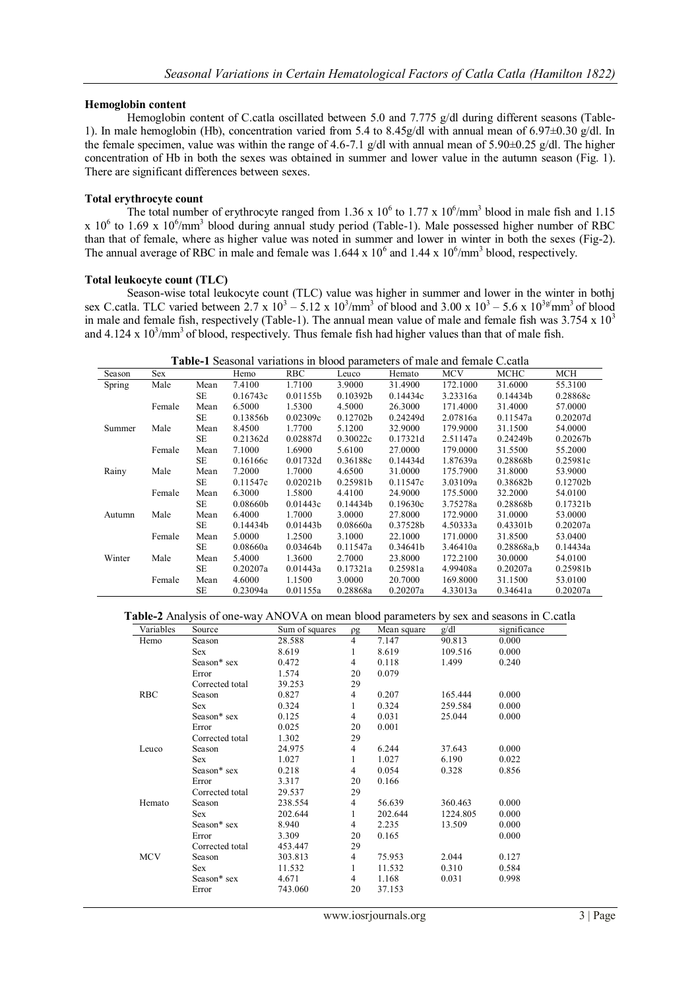#### **Hemoglobin content**

Hemoglobin content of C.catla oscillated between 5.0 and 7.775 g/dl during different seasons (Table-1). In male hemoglobin (Hb), concentration varied from 5.4 to 8.45g/dl with annual mean of 6.97±0.30 g/dl. In the female specimen, value was within the range of 4.6-7.1 g/dl with annual mean of 5.90 $\pm$ 0.25 g/dl. The higher concentration of Hb in both the sexes was obtained in summer and lower value in the autumn season (Fig. 1). There are significant differences between sexes.

#### **Total erythrocyte count**

The total number of erythrocyte ranged from 1.36 x  $10^6$  to 1.77 x  $10^6$ /mm<sup>3</sup> blood in male fish and 1.15  $x$  10<sup>6</sup> to 1.69 x 10<sup>6</sup>/mm<sup>3</sup> blood during annual study period (Table-1). Male possessed higher number of RBC than that of female, where as higher value was noted in summer and lower in winter in both the sexes (Fig-2). The annual average of RBC in male and female was  $1.644 \times 10^6$  and  $1.44 \times 10^6$ /mm<sup>3</sup> blood, respectively.

#### **Total leukocyte count (TLC)**

Season-wise total leukocyte count (TLC) value was higher in summer and lower in the winter in bothj sex C.catla. TLC varied between 2.7 x  $10^3 - 5.12$  x  $10^3$ /mm<sup>3</sup> of blood and 3.00 x  $10^3 - 5.6$  x  $10^{3}$ g/mm<sup>3</sup> of blood in male and female fish, respectively (Table-1). The annual mean value of male and female fish was  $3.754 \times 10^{3}$ and  $4.124 \times 10^3/\text{mm}^3$  of blood, respectively. Thus female fish had higher values than that of male fish.

**Table-1** Seasonal variations in blood parameters of male and female C.catla

| $\frac{1}{2}$<br>parameters of mare |        |      |          |                      |          |          |          |             |                      |
|-------------------------------------|--------|------|----------|----------------------|----------|----------|----------|-------------|----------------------|
| Season                              | Sex    |      | Hemo     | RBC                  | Leuco    | Hemato   | MCV      | <b>MCHC</b> | MCH                  |
| Spring                              | Male   | Mean | 7.4100   | 1.7100               | 3.9000   | 31.4900  | 172.1000 | 31.6000     | 55.3100              |
|                                     |        | SE   | 0.16743c | 0.01155b             | 0.10392b | 0.14434c | 3.23316a | 0.14434b    | 0.28868c             |
|                                     | Female | Mean | 6.5000   | 1.5300               | 4.5000   | 26.3000  | 171.4000 | 31.4000     | 57.0000              |
|                                     |        | SE.  | 0.13856b | 0.02309c             | 0.12702b | 0.24249d | 2.07816a | 0.11547a    | 0.20207d             |
| Summer                              | Male   | Mean | 8.4500   | 1.7700               | 5.1200   | 32.9000  | 179.9000 | 31.1500     | 54,0000              |
|                                     |        | SE   | 0.21362d | 0.02887d             | 0.30022c | 0.17321d | 2.51147a | 0.24249b    | 0.20267 <sub>b</sub> |
|                                     | Female | Mean | 7.1000   | 1.6900               | 5.6100   | 27,0000  | 179,0000 | 31.5500     | 55.2000              |
|                                     |        | SE.  | 0.16166c | 0.01732d             | 0.36188c | 0.14434d | 1.87639a | 0.28868b    | 0.25981c             |
| Rainy                               | Male   | Mean | 7.2000   | 1.7000               | 4.6500   | 31,0000  | 175.7900 | 31.8000     | 53.9000              |
|                                     |        | SE.  | 0.11547c | 0.02021 <sub>b</sub> | 0.25981b | 0.11547c | 3.03109a | 0.38682b    | 0.12702 <sub>b</sub> |
|                                     | Female | Mean | 6.3000   | 1.5800               | 4.4100   | 24,9000  | 175.5000 | 32.2000     | 54.0100              |
|                                     |        | SE.  | 0.08660b | 0.01443c             | 0.14434b | 0.19630c | 3.75278a | 0.28868b    | 0.17321b             |
| Autumn                              | Male   | Mean | 6.4000   | 1.7000               | 3.0000   | 27.8000  | 172,9000 | 31.0000     | 53,0000              |
|                                     |        | SE.  | 0.14434b | 0.01443 <sub>b</sub> | 0.08660a | 0.37528b | 4.50333a | 0.43301b    | 0.20207a             |
|                                     | Female | Mean | 5.0000   | 1.2500               | 3.1000   | 22.1000  | 171.0000 | 31.8500     | 53.0400              |
|                                     |        | SE.  | 0.08660a | 0.03464b             | 0.11547a | 0.34641b | 3.46410a | 0.28868a.b  | 0.14434a             |
| Winter                              | Male   | Mean | 5.4000   | 1.3600               | 2.7000   | 23.8000  | 172.2100 | 30,0000     | 54.0100              |
|                                     |        | SE.  | 0.20207a | 0.01443a             | 0.17321a | 0.25981a | 4.99408a | 0.20207a    | 0.25981b             |
|                                     | Female | Mean | 4.6000   | 1.1500               | 3.0000   | 20.7000  | 169,8000 | 31.1500     | 53.0100              |
|                                     |        | SE.  | 0.23094a | 0.01155a             | 0.28868a | 0.20207a | 4.33013a | 0.34641a    | 0.20207a             |

**Table-2** Analysis of one-way ANOVA on mean blood parameters by sex and seasons in C.catla

| Variables  | Source          | Sum of squares | ρg             | Mean square | g/dl     | significance |
|------------|-----------------|----------------|----------------|-------------|----------|--------------|
| Hemo       | Season          | 28.588         | $\overline{4}$ | 7.147       | 90.813   | 0.000        |
|            | Sex             | 8.619          | 1              | 8.619       | 109.516  | 0.000        |
|            | Season* sex     | 0.472          | $\overline{4}$ | 0.118       | 1.499    | 0.240        |
|            | Error           | 1.574          | 20             | 0.079       |          |              |
|            | Corrected total | 39.253         | 29             |             |          |              |
| <b>RBC</b> | Season          | 0.827          | 4              | 0.207       | 165.444  | 0.000        |
|            | Sex             | 0.324          | 1              | 0.324       | 259.584  | 0.000        |
|            | Season* sex     | 0.125          | 4              | 0.031       | 25.044   | 0.000        |
|            | Error           | 0.025          | 20             | 0.001       |          |              |
|            | Corrected total | 1.302          | 29             |             |          |              |
| Leuco      | Season          | 24.975         | 4              | 6.244       | 37.643   | 0.000        |
|            | Sex             | 1.027          | 1              | 1.027       | 6.190    | 0.022        |
|            | Season* sex     | 0.218          | $\overline{4}$ | 0.054       | 0.328    | 0.856        |
|            | Error           | 3.317          | 20             | 0.166       |          |              |
|            | Corrected total | 29.537         | 29             |             |          |              |
| Hemato     | Season          | 238.554        | 4              | 56.639      | 360.463  | 0.000        |
|            | Sex             | 202.644        | 1              | 202.644     | 1224.805 | 0.000        |
|            | Season* sex     | 8.940          | $\overline{4}$ | 2.235       | 13.509   | 0.000        |
|            | Error           | 3.309          | 20             | 0.165       |          | 0.000        |
|            | Corrected total | 453.447        | 29             |             |          |              |
| <b>MCV</b> | Season          | 303.813        | $\overline{4}$ | 75.953      | 2.044    | 0.127        |
|            | Sex             | 11.532         | 1              | 11.532      | 0.310    | 0.584        |
|            | Season* sex     | 4.671          | $\overline{4}$ | 1.168       | 0.031    | 0.998        |
|            | Error           | 743.060        | 20             | 37.153      |          |              |
|            |                 |                |                |             |          |              |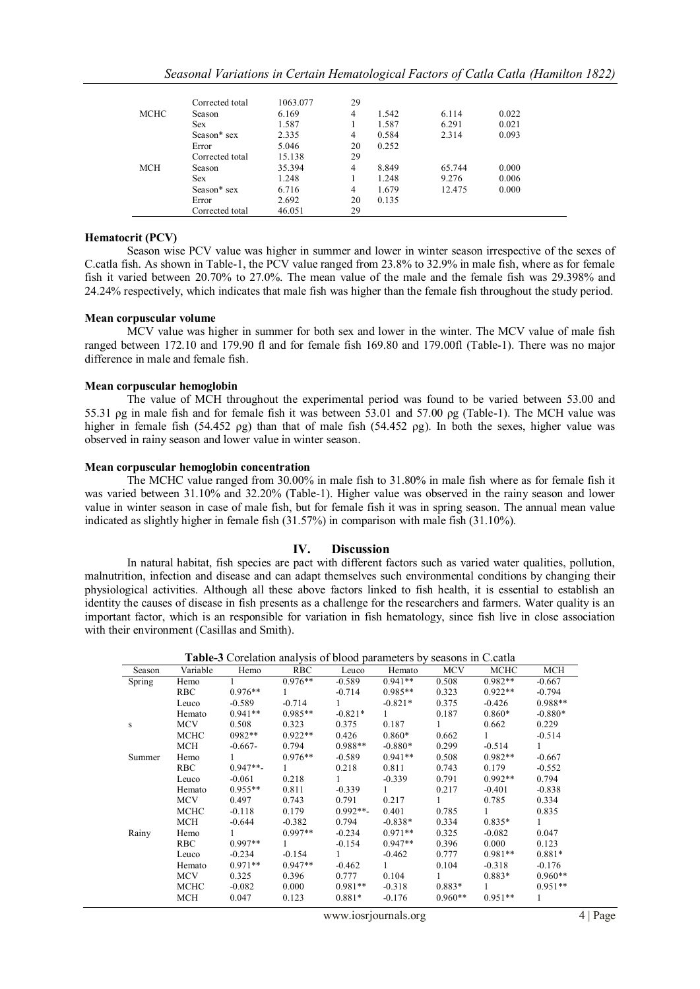|      | Corrected total | 1063.077 | 29 |       |        |       |
|------|-----------------|----------|----|-------|--------|-------|
| MCHC | Season          | 6.169    | 4  | 1.542 | 6.114  | 0.022 |
|      | <b>Sex</b>      | 1.587    |    | 1.587 | 6.291  | 0.021 |
|      | Season* sex     | 2.335    | 4  | 0.584 | 2.314  | 0.093 |
|      | Error           | 5.046    | 20 | 0.252 |        |       |
|      | Corrected total | 15.138   | 29 |       |        |       |
| MCH  | Season          | 35.394   | 4  | 8.849 | 65.744 | 0.000 |
|      | <b>Sex</b>      | 1.248    |    | 1.248 | 9.276  | 0.006 |
|      | Season* sex     | 6.716    | 4  | 1.679 | 12.475 | 0.000 |
|      | Error           | 2.692    | 20 | 0.135 |        |       |
|      | Corrected total | 46.051   | 29 |       |        |       |

#### **Hematocrit (PCV)**

Season wise PCV value was higher in summer and lower in winter season irrespective of the sexes of C.catla fish. As shown in Table-1, the PCV value ranged from 23.8% to 32.9% in male fish, where as for female fish it varied between 20.70% to 27.0%. The mean value of the male and the female fish was 29.398% and 24.24% respectively, which indicates that male fish was higher than the female fish throughout the study period.

#### **Mean corpuscular volume**

MCV value was higher in summer for both sex and lower in the winter. The MCV value of male fish ranged between 172.10 and 179.90 fl and for female fish 169.80 and 179.00fl (Table-1). There was no major difference in male and female fish.

#### **Mean corpuscular hemoglobin**

The value of MCH throughout the experimental period was found to be varied between 53.00 and 55.31 ρg in male fish and for female fish it was between 53.01 and 57.00 ρg (Table-1). The MCH value was higher in female fish (54.452 ρg) than that of male fish (54.452 ρg). In both the sexes, higher value was observed in rainy season and lower value in winter season.

#### **Mean corpuscular hemoglobin concentration**

The MCHC value ranged from 30.00% in male fish to 31.80% in male fish where as for female fish it was varied between 31.10% and 32.20% (Table-1). Higher value was observed in the rainy season and lower value in winter season in case of male fish, but for female fish it was in spring season. The annual mean value indicated as slightly higher in female fish (31.57%) in comparison with male fish (31.10%).

#### **IV. Discussion**

In natural habitat, fish species are pact with different factors such as varied water qualities, pollution, malnutrition, infection and disease and can adapt themselves such environmental conditions by changing their physiological activities. Although all these above factors linked to fish health, it is essential to establish an identity the causes of disease in fish presents as a challenge for the researchers and farmers. Water quality is an important factor, which is an responsible for variation in fish hematology, since fish live in close association with their environment (Casillas and Smith).

| <b>Table-3</b> Corelation analysis of blood parameters by seasons in C.catla |  |
|------------------------------------------------------------------------------|--|
|------------------------------------------------------------------------------|--|

| Season | Variable        | Hemo      | <b>RBC</b>   | Leuco        | Hemato       | <b>MCV</b> | <b>MCHC</b> | <b>MCH</b>   |
|--------|-----------------|-----------|--------------|--------------|--------------|------------|-------------|--------------|
| Spring | Hemo            |           | $0.976**$    | $-0.589$     | $0.941**$    | 0.508      | $0.982**$   | $-0.667$     |
|        | <b>RBC</b>      | $0.976**$ | $\mathbf{1}$ | $-0.714$     | $0.985**$    | 0.323      | $0.922**$   | $-0.794$     |
|        | Leuco           | $-0.589$  | $-0.714$     |              | $-0.821*$    | 0.375      | $-0.426$    | $0.988**$    |
|        | Hemato          | $0.941**$ | $0.985**$    | $-0.821*$    | $\mathbf{1}$ | 0.187      | $0.860*$    | $-0.880*$    |
| s      | <b>MCV</b>      | 0.508     | 0.323        | 0.375        | 0.187        | 1.         | 0.662       | 0.229        |
|        | <b>MCHC</b>     | $0982**$  | $0.922**$    | 0.426        | $0.860*$     | 0.662      |             | $-0.514$     |
|        | <b>MCH</b>      | $-0.667-$ | 0.794        | $0.988**$    | $-0.880*$    | 0.299      | $-0.514$    | $\mathbf{1}$ |
| Summer | Hemo            |           | $0.976**$    | $-0.589$     | $0.941**$    | 0.508      | $0.982**$   | $-0.667$     |
|        | R <sub>BC</sub> | $0.947**$ | $\mathbf{1}$ | 0.218        | 0.811        | 0.743      | 0.179       | $-0.552$     |
|        | Leuco           | $-0.061$  | 0.218        |              | $-0.339$     | 0.791      | $0.992**$   | 0.794        |
|        | Hemato          | $0.955**$ | 0.811        | $-0.339$     | $\mathbf{1}$ | 0.217      | $-0.401$    | $-0.838$     |
|        | <b>MCV</b>      | 0.497     | 0.743        | 0.791        | 0.217        |            | 0.785       | 0.334        |
|        | <b>MCHC</b>     | $-0.118$  | 0.179        | $0.992**$    | 0.401        | 0.785      |             | 0.835        |
|        | MCH             | $-0.644$  | $-0.382$     | 0.794        | $-0.838*$    | 0.334      | $0.835*$    | $\mathbf{1}$ |
| Rainy  | Hemo            |           | $0.997**$    | $-0.234$     | $0.971**$    | 0.325      | $-0.082$    | 0.047        |
|        | <b>RBC</b>      | $0.997**$ | $\mathbf{1}$ | $-0.154$     | $0.947**$    | 0.396      | 0.000       | 0.123        |
|        | Leuco           | $-0.234$  | $-0.154$     | $\mathbf{1}$ | $-0.462$     | 0.777      | $0.981**$   | $0.881*$     |
|        | Hemato          | $0.971**$ | $0.947**$    | $-0.462$     |              | 0.104      | $-0.318$    | $-0.176$     |
|        | <b>MCV</b>      | 0.325     | 0.396        | 0.777        | 0.104        |            | $0.883*$    | $0.960**$    |
|        | <b>MCHC</b>     | $-0.082$  | 0.000        | $0.981**$    | $-0.318$     | $0.883*$   |             | $0.951**$    |
|        | MCH             | 0.047     | 0.123        | $0.881*$     | $-0.176$     | $0.960**$  | $0.951**$   | 1            |
|        |                 |           |              |              |              |            |             |              |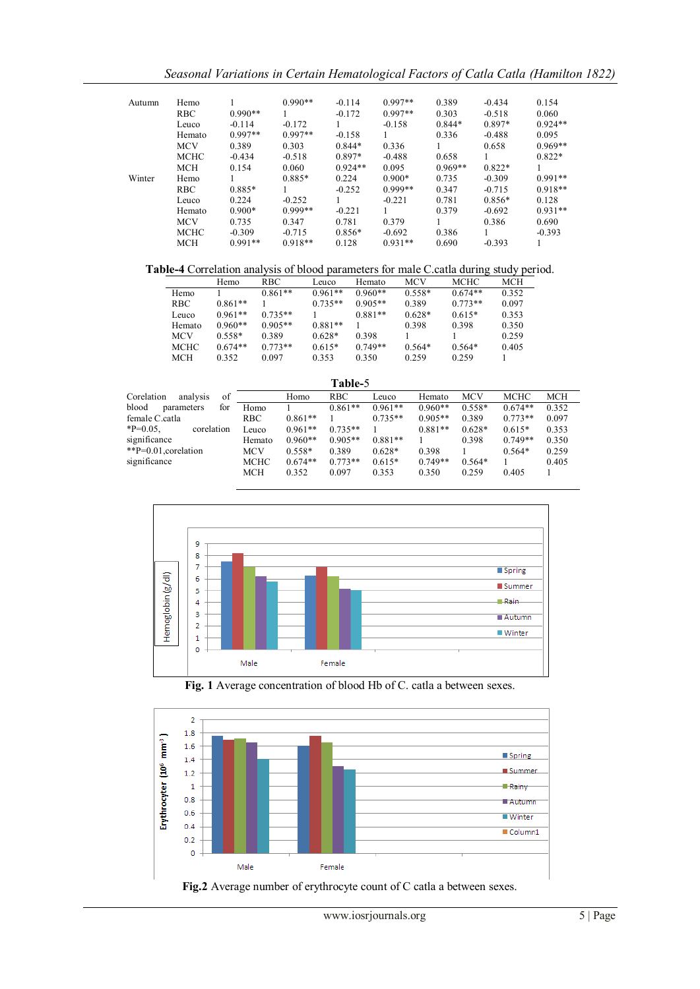*Seasonal Variations in Certain Hematological Factors of Catla Catla (Hamilton 1822)*

| Autumn | Hemo        |           | $0.990**$ | $-0.114$  | $0.997**$    | 0.389     | $-0.434$ | 0.154     |
|--------|-------------|-----------|-----------|-----------|--------------|-----------|----------|-----------|
|        | <b>RBC</b>  | $0.990**$ |           | $-0.172$  | $0.997**$    | 0.303     | $-0.518$ | 0.060     |
|        | Leuco       | $-0.114$  | $-0.172$  |           | $-0.158$     | $0.844*$  | $0.897*$ | $0.924**$ |
|        | Hemato      | $0.997**$ | $0.997**$ | $-0.158$  |              | 0.336     | $-0.488$ | 0.095     |
|        | <b>MCV</b>  | 0.389     | 0.303     | $0.844*$  | 0.336        |           | 0.658    | $0.969**$ |
|        | <b>MCHC</b> | $-0.434$  | $-0.518$  | $0.897*$  | $-0.488$     | 0.658     |          | $0.822*$  |
|        | <b>MCH</b>  | 0.154     | 0.060     | $0.924**$ | 0.095        | $0.969**$ | $0.822*$ |           |
| Winter | Hemo        |           | $0.885*$  | 0.224     | $0.900*$     | 0.735     | $-0.309$ | $0.991**$ |
|        | <b>RBC</b>  | $0.885*$  |           | $-0.252$  | $0.999**$    | 0.347     | $-0.715$ | $0.918**$ |
|        | Leuco       | 0.224     | $-0.252$  |           | $-0.221$     | 0.781     | $0.856*$ | 0.128     |
|        | Hemato      | $0.900*$  | $0.999**$ | $-0.221$  | $\mathbf{1}$ | 0 3 7 9   | $-0.692$ | $0.931**$ |
|        | <b>MCV</b>  | 0.735     | 0.347     | 0.781     | 0.379        |           | 0.386    | 0.690     |
|        | <b>MCHC</b> | $-0.309$  | $-0.715$  | $0.856*$  | $-0.692$     | 0.386     |          | $-0.393$  |
|        | <b>MCH</b>  | $0.991**$ | $0.918**$ | 0.128     | $0.931**$    | 0.690     | $-0.393$ |           |
|        |             |           |           |           |              |           |          |           |

**Table-4** Correlation analysis of blood parameters for male C.catla during study period.

|             | Hemo      | RBC.      | Leuco     | Hemato    | <b>MCV</b> | <b>MCHC</b> | <b>MCH</b> |
|-------------|-----------|-----------|-----------|-----------|------------|-------------|------------|
| Hemo        |           | $0.861**$ | $0.961**$ | $0.960**$ | $0.558*$   | $0.674**$   | 0.352      |
| RBC.        | $0.861**$ |           | $0.735**$ | $0.905**$ | 0.389      | $0.773**$   | 0.097      |
| Leuco       | $0.961**$ | $0.735**$ |           | $0.881**$ | $0.628*$   | $0.615*$    | 0.353      |
| Hemato      | $0.960**$ | $0.905**$ | $0.881**$ |           | 0.398      | 0.398       | 0.350      |
| <b>MCV</b>  | $0.558*$  | 0.389     | $0.628*$  | 0.398     |            |             | 0.259      |
| <b>MCHC</b> | $0.674**$ | $0.773**$ | $0.615*$  | $0.749**$ | $0.564*$   | $0.564*$    | 0.405      |
| <b>MCH</b>  | 0.352     | 0.097     | 0.353     | 0.350     | 0.259      | 0.259       |            |

| Table-5                      |            |           |            |           |           |            |           |       |  |  |
|------------------------------|------------|-----------|------------|-----------|-----------|------------|-----------|-------|--|--|
| of<br>Corelation<br>analysis |            | Homo      | <b>RBC</b> | Leuco     | Hemato    | <b>MCV</b> | MCHC      | MCH   |  |  |
| for<br>blood<br>parameters   | Homo       |           | $0.861**$  | $0.961**$ | $0.960**$ | $0.558*$   | $0.674**$ | 0.352 |  |  |
| female C.catla               | <b>RBC</b> | $0.861**$ |            | $0.735**$ | $0.905**$ | 0.389      | $0.773**$ | 0.097 |  |  |
| $*P=0.05$ ,<br>corelation    | Leuco      | $0.961**$ | $0.735**$  |           | $0.881**$ | $0.628*$   | $0.615*$  | 0.353 |  |  |
| significance                 | Hemato     | $0.960**$ | $0.905**$  | $0.881**$ |           | 0.398      | $0.749**$ | 0.350 |  |  |
| $*$ $P=0.01$ , corelation    | MCV        | $0.558*$  | 0.389      | $0.628*$  | 0.398     |            | $0.564*$  | 0.259 |  |  |
| significance                 | MCHC       | $0.674**$ | $0.773**$  | $0.615*$  | $0.749**$ | $0.564*$   |           | 0.405 |  |  |
|                              | MCH        | 0.352     | 0.097      | 0.353     | 0.350     | 0.259      | 0.405     |       |  |  |



**Fig. 1** Average concentration of blood Hb of C. catla a between sexes.



**Fig.2** Average number of erythrocyte count of C catla a between sexes.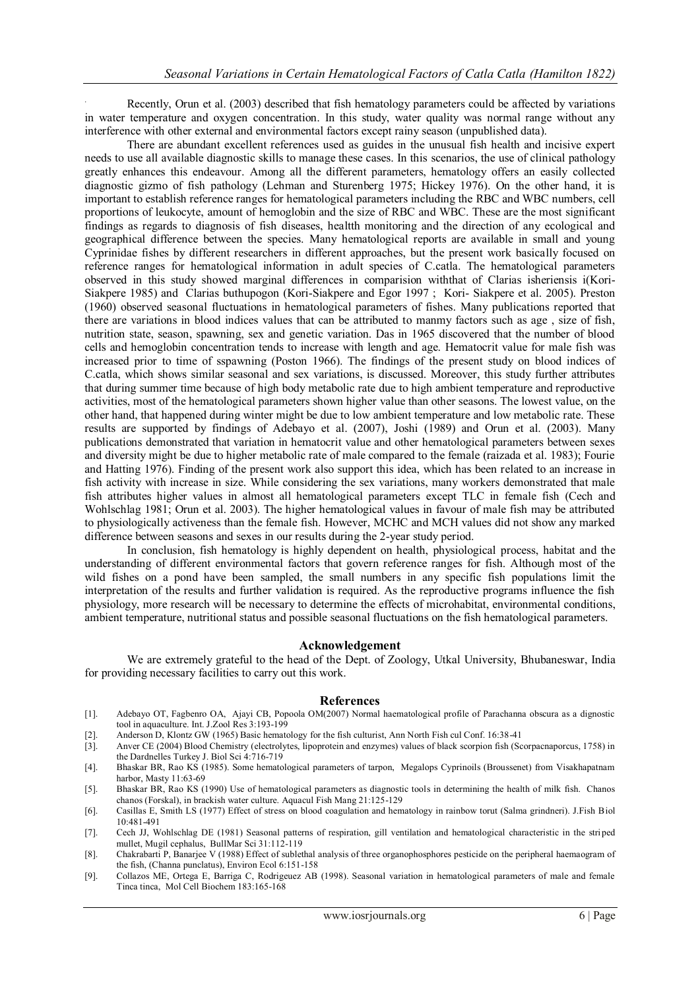. Recently, Orun et al. (2003) described that fish hematology parameters could be affected by variations in water temperature and oxygen concentration. In this study, water quality was normal range without any interference with other external and environmental factors except rainy season (unpublished data).

There are abundant excellent references used as guides in the unusual fish health and incisive expert needs to use all available diagnostic skills to manage these cases. In this scenarios, the use of clinical pathology greatly enhances this endeavour. Among all the different parameters, hematology offers an easily collected diagnostic gizmo of fish pathology (Lehman and Sturenberg 1975; Hickey 1976). On the other hand, it is important to establish reference ranges for hematological parameters including the RBC and WBC numbers, cell proportions of leukocyte, amount of hemoglobin and the size of RBC and WBC. These are the most significant findings as regards to diagnosis of fish diseases, healtth monitoring and the direction of any ecological and geographical difference between the species. Many hematological reports are available in small and young Cyprinidae fishes by different researchers in different approaches, but the present work basically focused on reference ranges for hematological information in adult species of C.catla. The hematological parameters observed in this study showed marginal differences in comparision withthat of Clarias isheriensis i(Kori-Siakpere 1985) and Clarias buthupogon (Kori-Siakpere and Egor 1997 ; Kori- Siakpere et al. 2005). Preston (1960) observed seasonal fluctuations in hematological parameters of fishes. Many publications reported that there are variations in blood indices values that can be attributed to manmy factors such as age , size of fish, nutrition state, season, spawning, sex and genetic variation. Das in 1965 discovered that the number of blood cells and hemoglobin concentration tends to increase with length and age. Hematocrit value for male fish was increased prior to time of sspawning (Poston 1966). The findings of the present study on blood indices of C.catla, which shows similar seasonal and sex variations, is discussed. Moreover, this study further attributes that during summer time because of high body metabolic rate due to high ambient temperature and reproductive activities, most of the hematological parameters shown higher value than other seasons. The lowest value, on the other hand, that happened during winter might be due to low ambient temperature and low metabolic rate. These results are supported by findings of Adebayo et al. (2007), Joshi (1989) and Orun et al. (2003). Many publications demonstrated that variation in hematocrit value and other hematological parameters between sexes and diversity might be due to higher metabolic rate of male compared to the female (raizada et al. 1983); Fourie and Hatting 1976). Finding of the present work also support this idea, which has been related to an increase in fish activity with increase in size. While considering the sex variations, many workers demonstrated that male fish attributes higher values in almost all hematological parameters except TLC in female fish (Cech and Wohlschlag 1981; Orun et al. 2003). The higher hematological values in favour of male fish may be attributed to physiologically activeness than the female fish. However, MCHC and MCH values did not show any marked difference between seasons and sexes in our results during the 2-year study period.

In conclusion, fish hematology is highly dependent on health, physiological process, habitat and the understanding of different environmental factors that govern reference ranges for fish. Although most of the wild fishes on a pond have been sampled, the small numbers in any specific fish populations limit the interpretation of the results and further validation is required. As the reproductive programs influence the fish physiology, more research will be necessary to determine the effects of microhabitat, environmental conditions, ambient temperature, nutritional status and possible seasonal fluctuations on the fish hematological parameters.

#### **Acknowledgement**

We are extremely grateful to the head of the Dept. of Zoology, Utkal University, Bhubaneswar, India for providing necessary facilities to carry out this work.

#### **References**

- [1]. Adebayo OT, Fagbenro OA, Ajayi CB, Popoola OM(2007) Normal haematological profile of Parachanna obscura as a dignostic tool in aquaculture. Int. J.Zool Res 3:193-199
- [2]. Anderson D, Klontz GW (1965) Basic hematology for the fish culturist, Ann North Fish cul Conf. 16:38-41
- [3]. Anver CE (2004) Blood Chemistry (electrolytes, lipoprotein and enzymes) values of black scorpion fish (Scorpacnaporcus, 1758) in the Dardnelles Turkey J. Biol Sci 4:716-719
- [4]. Bhaskar BR, Rao KS (1985). Some hematological parameters of tarpon, Megalops Cyprinoils (Broussenet) from Visakhapatnam harbor, Masty 11:63-69
- [5]. Bhaskar BR, Rao KS (1990) Use of hematological parameters as diagnostic tools in determining the health of milk fish. Chanos chanos (Forskal), in brackish water culture. Aquacul Fish Mang 21:125-129
- [6]. Casillas E, Smith LS (1977) Effect of stress on blood coagulation and hematology in rainbow torut (Salma grindneri). J.Fish Biol 10:481-491
- [7]. Cech JJ, Wohlschlag DE (1981) Seasonal patterns of respiration, gill ventilation and hematological characteristic in the striped mullet, Mugil cephalus, BullMar Sci 31:112-119
- [8]. Chakrabarti P, Banarjee V (1988) Effect of sublethal analysis of three organophosphores pesticide on the peripheral haemaogram of the fish, (Channa punclatus), Environ Ecol 6:151-158
- [9]. Collazos ME, Ortega E, Barriga C, Rodrigeuez AB (1998). Seasonal variation in hematological parameters of male and female Tinca tinca, Mol Cell Biochem 183:165-168